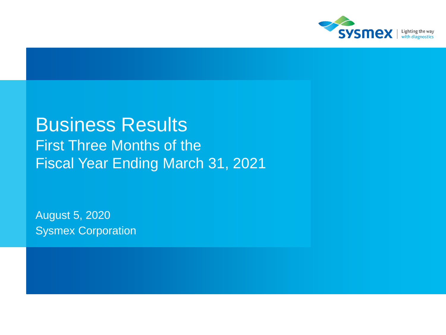

# Business Results First Three Months of the Fiscal Year Ending March 31, 2021

August 5, 2020 Sysmex Corporation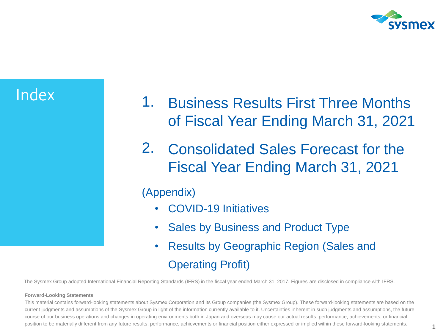

- Index 1. Business Results First Three Months of Fiscal Year Ending March 31, 2021
	- 2. Consolidated Sales Forecast for the Fiscal Year Ending March 31, 2021

# (Appendix)

- COVID-19 Initiatives
- Sales by Business and Product Type
- Results by Geographic Region (Sales and Operating Profit)

The Sysmex Group adopted International Financial Reporting Standards (IFRS) in the fiscal year ended March 31, 2017. Figures are disclosed in compliance with IFRS.

#### **Forward-Looking Statements**

This material contains forward-looking statements about Sysmex Corporation and its Group companies (the Sysmex Group). These forward-looking statements are based on the current judgments and assumptions of the Sysmex Group in light of the information currently available to it. Uncertainties inherent in such judgments and assumptions, the future course of our business operations and changes in operating environments both in Japan and overseas may cause our actual results, performance, achievements, or financial position to be materially different from any future results, performance, achievements or financial position either expressed or implied within these forward-looking statements.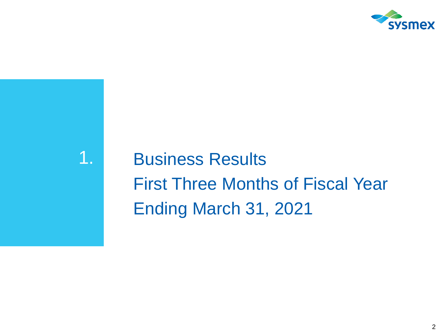

1. Business Results First Three Months of Fiscal Year Ending March 31, 2021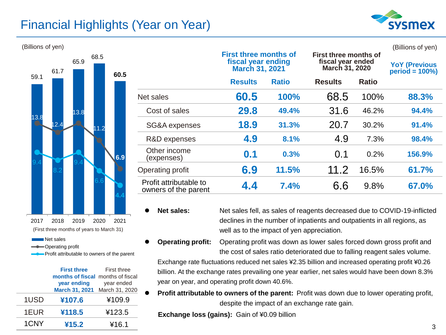# Financial Highlights (Year on Year)





Operating profit

Profit attributable to owners of the parent

|      | <b>First three</b>                | <b>First three</b> |
|------|-----------------------------------|--------------------|
|      | months of fiscal months of fiscal |                    |
|      | year ending                       | year ended         |
|      | March 31, 2021 March 31, 2020     |                    |
| 1USD | ¥107.6                            | ¥109.9             |
| 1EUR | ¥118.5                            | ¥123.5             |
| 1CNY | ¥15.2                             | ¥16.1              |

| (Billions of yen)            |      |      |                                                                             |                                                |                                                              |              |                                           |              | (Billions of yen) |
|------------------------------|------|------|-----------------------------------------------------------------------------|------------------------------------------------|--------------------------------------------------------------|--------------|-------------------------------------------|--------------|-------------------|
| 68.5<br>65.9<br>61.7<br>60.5 |      |      | <b>First three months of</b><br>fiscal year ending<br><b>March 31, 2021</b> |                                                | First three months of<br>fiscal year ended<br>March 31, 2020 |              | <b>YoY (Previous</b><br>$period = 100\%)$ |              |                   |
| 59.1                         |      |      |                                                                             |                                                | <b>Results</b>                                               | <b>Ratio</b> | <b>Results</b>                            | <b>Ratio</b> |                   |
|                              |      |      |                                                                             | Net sales                                      | 60.5                                                         | 100%         | 68.5                                      | 100%         | 88.3%             |
|                              |      | 13.8 |                                                                             | Cost of sales                                  | 29.8                                                         | 49.4%        | 31.6                                      | 46.2%        | 94.4%             |
| 13.8                         | 12.4 |      | 1.2                                                                         | SG&A expenses                                  | 18.9                                                         | 31.3%        | 20.7                                      | 30.2%        | 91.4%             |
|                              |      |      |                                                                             | R&D expenses                                   | 4.9                                                          | 8.1%         | 4.9                                       | 7.3%         | 98.4%             |
|                              |      |      | 6.9                                                                         | Other income<br>(expenses)                     | 0.1                                                          | 0.3%         | 0.1                                       | 0.2%         | 156.9%            |
|                              |      |      |                                                                             | Operating profit                               | 6.9                                                          | 11.5%        | 11.2                                      | 16.5%        | 61.7%             |
|                              |      |      |                                                                             | Profit attributable to<br>owners of the parent | 4.4                                                          | 7.4%         | 6.6                                       | 9.8%         | 67.0%             |

⚫ **Net sales:** Net sales fell, as sales of reagents decreased due to COVID-19-inflicted declines in the number of inpatients and outpatients in all regions, as well as to the impact of yen appreciation.

⚫ **Operating profit:** Operating profit was down as lower sales forced down gross profit and the cost of sales ratio deteriorated due to falling reagent sales volume.

Exchange rate fluctuations reduced net sales ¥2.35 billion and increased operating profit ¥0.26 billion. At the exchange rates prevailing one year earlier, net sales would have been down 8.3% year on year, and operating profit down 40.6%.

⚫ **Profit attributable to owners of the parent:** Profit was down due to lower operating profit, despite the impact of an exchange rate gain.

**Exchange loss (gains):** Gain of ¥0.09 billion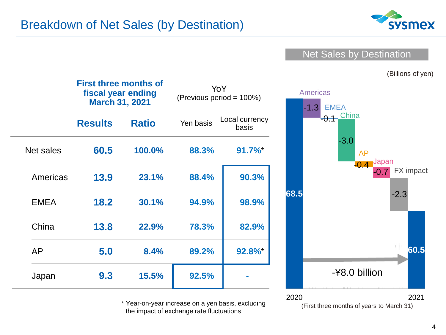

### Net Sales by Destination

(Billions of yen)

|             | <b>First three months of</b><br>fiscal year ending<br><b>March 31, 2021</b> |              |           | YoY<br>(Previous period = 100%) |    |
|-------------|-----------------------------------------------------------------------------|--------------|-----------|---------------------------------|----|
|             | <b>Results</b>                                                              | <b>Ratio</b> | Yen basis | Local currency<br>basis         |    |
| Net sales   | 60.5                                                                        | 100.0%       | 88.3%     | $91.7\%$                        |    |
| Americas    | 13.9                                                                        | 23.1%        | 88.4%     | 90.3%                           |    |
| <b>EMEA</b> | 18.2                                                                        | 30.1%        | 94.9%     | 98.9%                           | 68 |
| China       | 13.8                                                                        | 22.9%        | 78.3%     | 82.9%                           |    |
| AP          | 5.0                                                                         | 8.4%         | 89.2%     | 92.8%*                          |    |
| Japan       | 9.3                                                                         | 15.5%        | 92.5%     |                                 |    |

\* Year-on-year increase on a yen basis, excluding the impact of exchange rate fluctuations

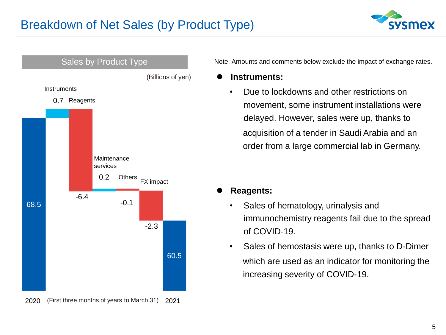



#### $2020$  $rac{1}{2}$  $2021$  $\overline{a}$ (First three months of years to March 31)

Note: Amounts and comments below exclude the impact of exchange rates.

- ⚫ **Instruments:**
	- Due to lockdowns and other restrictions on movement, some instrument installations were delayed. However, sales were up, thanks to acquisition of a tender in Saudi Arabia and an order from a large commercial lab in Germany.

- ⚫ **Reagents:**
	- Sales of hematology, urinalysis and immunochemistry reagents fail due to the spread of COVID-19.
	- Sales of hemostasis were up, thanks to D-Dimer which are used as an indicator for monitoring the increasing severity of COVID-19.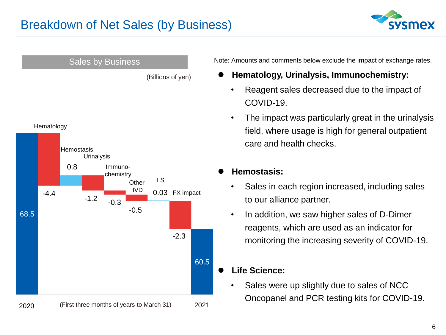



Note: Amounts and comments below exclude the impact of exchange rates.

- ⚫ **Hematology, Urinalysis, Immunochemistry:**
	- Reagent sales decreased due to the impact of COVID-19.
	- The impact was particularly great in the urinalysis field, where usage is high for general outpatient care and health checks.
- ⚫ **Hemostasis:**
	- Sales in each region increased, including sales to our alliance partner.
	- In addition, we saw higher sales of D-Dimer reagents, which are used as an indicator for monitoring the increasing severity of COVID-19.
- ⚫ **Life Science:**
	- Sales were up slightly due to sales of NCC Oncopanel and PCR testing kits for COVID-19.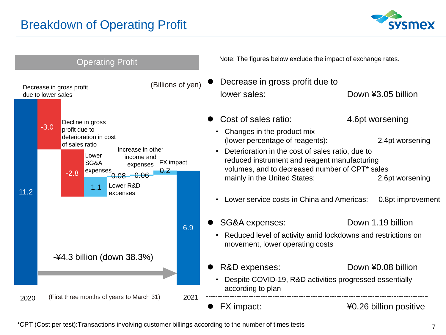# Breakdown of Operating Profit





\*CPT (Cost per test):Transactions involving customer billings according to the number of times tests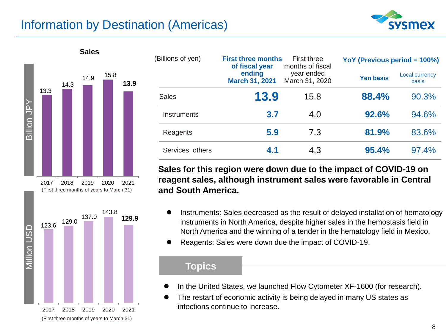# Information by Destination (Americas)





| (First three months of years to March 31) |  |  |  |
|-------------------------------------------|--|--|--|
|                                           |  |  |  |

| (Billions of yen) |      | <b>First three months</b><br><b>First three</b><br>months of fiscal<br>of fiscal year<br>ending<br>year ended<br>March 31, 2020<br><b>March 31, 2021</b> |       | YoY (Previous period = 100%) |  |  |
|-------------------|------|----------------------------------------------------------------------------------------------------------------------------------------------------------|-------|------------------------------|--|--|
|                   |      |                                                                                                                                                          |       | Local currency<br>basis      |  |  |
| <b>Sales</b>      | 13.9 | 15.8                                                                                                                                                     | 88.4% | 90.3%                        |  |  |
| Instruments       | 3.7  | 4.0                                                                                                                                                      | 92.6% | 94.6%                        |  |  |
| Reagents          | 5.9  | 7.3                                                                                                                                                      | 81.9% | 83.6%                        |  |  |
| Services, others  | 4.1  | 4.3                                                                                                                                                      | 95.4% | 97.4%                        |  |  |

**Sales for this region were down due to the impact of COVID-19 on reagent sales, although instrument sales were favorable in Central and South America.**

- ⚫ Instruments: Sales decreased as the result of delayed installation of hematology instruments in North America, despite higher sales in the hemostasis field in North America and the winning of a tender in the hematology field in Mexico.
- ⚫ Reagents: Sales were down due the impact of COVID-19.

- In the United States, we launched Flow Cytometer XF-1600 (for research).
- The restart of economic activity is being delayed in many US states as infections continue to increase.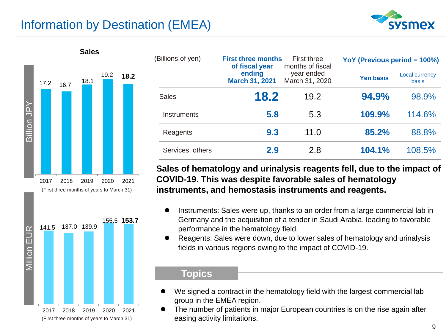# Information by Destination (EMEA)





2017 2018 2019 2020 2021 (First three months of years to March 31)

| (Billions of yen) | of fiscal year                  | <b>First three months</b><br>First three<br>months of fiscal |                  | YoY (Previous period = 100%) |  |  |
|-------------------|---------------------------------|--------------------------------------------------------------|------------------|------------------------------|--|--|
|                   | ending<br><b>March 31, 2021</b> | year ended<br>March 31, 2020                                 | <b>Yen basis</b> | Local currency<br>basis      |  |  |
| <b>Sales</b>      | 18.2                            | 19.2                                                         | 94.9%            | 98.9%                        |  |  |
| Instruments       | 5.8                             | 5.3                                                          | 109.9%           | 114.6%                       |  |  |
| Reagents          | 9.3                             | 11.0                                                         | 85.2%            | 88.8%                        |  |  |
| Services, others  | 2.9                             | 2.8                                                          | 104.1%           | 108.5%                       |  |  |

**Sales of hematology and urinalysis reagents fell, due to the impact of COVID-19. This was despite favorable sales of hematology instruments, and hemostasis instruments and reagents.** 

- Instruments: Sales were up, thanks to an order from a large commercial lab in Germany and the acquisition of a tender in Saudi Arabia, leading to favorable performance in the hematology field.
- ⚫ Reagents: Sales were down, due to lower sales of hematology and urinalysis fields in various regions owing to the impact of COVID-19.

- We signed a contract in the hematology field with the largest commercial lab group in the EMEA region.
- ⚫ The number of patients in major European countries is on the rise again after easing activity limitations.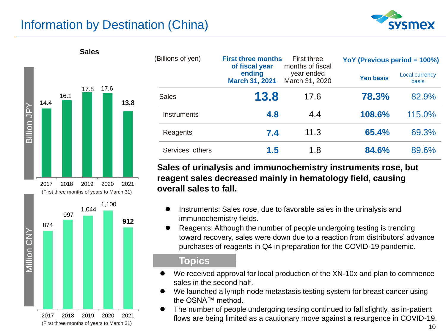# Information by Destination (China)





| ZUIT ZUIB ZUIY ZUZU ZUZ                   |  |  |
|-------------------------------------------|--|--|
| (First three months of years to March 31) |  |  |

| (Billions of yen) |                                 | <b>First three months</b><br>First three<br>months of fiscal<br>of fiscal year |                  | YoY (Previous period $= 100\%$ ) |  |  |
|-------------------|---------------------------------|--------------------------------------------------------------------------------|------------------|----------------------------------|--|--|
|                   | ending<br><b>March 31, 2021</b> | year ended<br>March 31, 2020                                                   | <b>Yen basis</b> | <b>Local currency</b><br>basis   |  |  |
| <b>Sales</b>      | 13.8                            | 17.6                                                                           | 78.3%            | 82.9%                            |  |  |
| Instruments       | 4.8                             | 4.4                                                                            | 108.6%           | 115.0%                           |  |  |
| Reagents          | 7.4                             | 11.3                                                                           | 65.4%            | 69.3%                            |  |  |
| Services, others  | 1.5                             | 1.8                                                                            | 84.6%            | 89.6%                            |  |  |

#### **Sales of urinalysis and immunochemistry instruments rose, but reagent sales decreased mainly in hematology field, causing overall sales to fall.**

- ⚫ Instruments: Sales rose, due to favorable sales in the urinalysis and immunochemistry fields.
- ⚫ Reagents: Although the number of people undergoing testing is trending toward recovery, sales were down due to a reaction from distributors' advance purchases of reagents in Q4 in preparation for the COVID-19 pandemic.

- We received approval for local production of the XN-10x and plan to commence sales in the second half.
- We launched a lymph node metastasis testing system for breast cancer using the OSNA™ method.
- ⚫ The number of people undergoing testing continued to fall slightly, as in-patient flows are being limited as a cautionary move against a resurgence in COVID-19.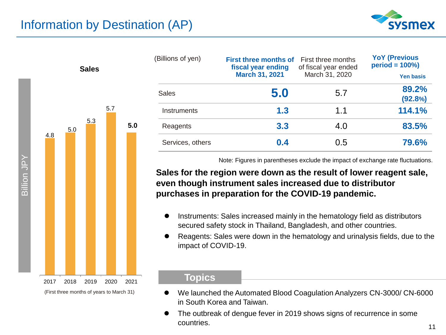



| (Billions of yen) | <b>First three months of</b><br>fiscal year ending | First three months<br>of fiscal year ended | <b>YoY (Previous</b><br>$period = 100\%)$ |  |
|-------------------|----------------------------------------------------|--------------------------------------------|-------------------------------------------|--|
|                   | <b>March 31, 2021</b>                              | March 31, 2020                             | <b>Yen basis</b>                          |  |
| Sales             | 5.0                                                | 5.7                                        | 89.2%                                     |  |
|                   |                                                    |                                            | (92.8%)                                   |  |
| Instruments       | 1.3                                                | 1.1                                        | 114.1%                                    |  |
| Reagents          | 3.3                                                | 4.0                                        | 83.5%                                     |  |
| Services, others  | 0.4                                                | 0.5                                        | 79.6%                                     |  |

Note: Figures in parentheses exclude the impact of exchange rate fluctuations.

#### **Sales for the region were down as the result of lower reagent sale, even though instrument sales increased due to distributor purchases in preparation for the COVID-19 pandemic.**

- ⚫ Instruments: Sales increased mainly in the hematology field as distributors secured safety stock in Thailand, Bangladesh, and other countries.
- ⚫ Reagents: Sales were down in the hematology and urinalysis fields, due to the impact of COVID-19.

- ⚫ We launched the Automated Blood Coagulation Analyzers CN-3000/ CN-6000 in South Korea and Taiwan.
- ⚫ The outbreak of dengue fever in 2019 shows signs of recurrence in some countries.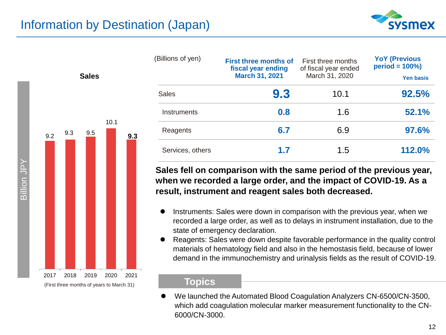



| (Billions of yen) | <b>First three months of</b><br>fiscal year ending<br><b>March 31, 2021</b> | First three months<br>of fiscal year ended<br>March 31, 2020 | <b>YoY (Previous</b><br>$period = 100\%)$<br><b>Yen basis</b> |
|-------------------|-----------------------------------------------------------------------------|--------------------------------------------------------------|---------------------------------------------------------------|
| Sales             | 9.3                                                                         | 10.1                                                         | 92.5%                                                         |
| Instruments       | 0.8                                                                         | 1.6                                                          | 52.1%                                                         |
| Reagents          | 6.7                                                                         | 6.9                                                          | 97.6%                                                         |
| Services, others  | 1.7                                                                         | 1.5                                                          | 112.0%                                                        |

**Sales fell on comparison with the same period of the previous year, when we recorded a large order, and the impact of COVID-19. As a result, instrument and reagent sales both decreased.**

- ⚫ Instruments: Sales were down in comparison with the previous year, when we recorded a large order, as well as to delays in instrument installation, due to the state of emergency declaration.
- ⚫ Reagents: Sales were down despite favorable performance in the quality control materials of hematology field and also in the hemostasis field, because of lower demand in the immunochemistry and urinalysis fields as the result of COVID-19.

#### **Topics**

⚫ We launched the Automated Blood Coagulation Analyzers CN-6500/CN-3500, which add coagulation molecular marker measurement functionality to the CN-6000/CN-3000.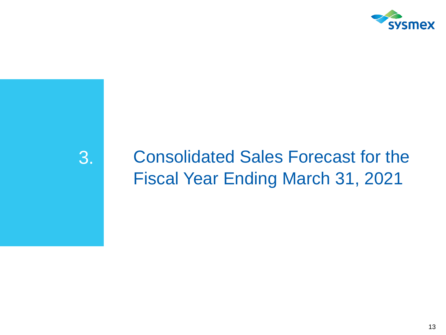

# 3. Consolidated Sales Forecast for the Fiscal Year Ending March 31, 2021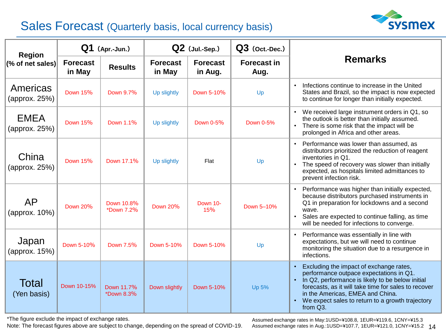# Sales Forecast (Quarterly basis, local currency basis)



| <b>Region</b>                | $Q1$ (Apr.-Jun.)          |                          | Q2 (Jul.-Sep.)            |                            | $Q3$ (Oct.-Dec.)           |                                                                                                                                                                                                                                                                                                                 |  |
|------------------------------|---------------------------|--------------------------|---------------------------|----------------------------|----------------------------|-----------------------------------------------------------------------------------------------------------------------------------------------------------------------------------------------------------------------------------------------------------------------------------------------------------------|--|
| (% of net sales)             | <b>Forecast</b><br>in May | <b>Results</b>           | <b>Forecast</b><br>in May | <b>Forecast</b><br>in Aug. | <b>Forecast in</b><br>Aug. | <b>Remarks</b>                                                                                                                                                                                                                                                                                                  |  |
| Americas<br>(approx. 25%)    | <b>Down 15%</b>           | Down 9.7%                | Up slightly               | Down 5-10%                 | Up                         | Infections continue to increase in the United<br>$\bullet$<br>States and Brazil, so the impact is now expected<br>to continue for longer than initially expected.                                                                                                                                               |  |
| <b>EMEA</b><br>(approx. 25%) | <b>Down 15%</b>           | Down 1.1%                | Up slightly               | Down 0-5%                  | Down 0-5%                  | We received large instrument orders in Q1, so<br>the outlook is better than initially assumed.<br>There is some risk that the impact will be<br>$\bullet$<br>prolonged in Africa and other areas.                                                                                                               |  |
| China<br>(approx. 25%)       | <b>Down 15%</b>           | Down 17.1%               | Up slightly               | Flat                       | Up                         | Performance was lower than assumed, as<br>$\bullet$<br>distributors prioritized the reduction of reagent<br>inventories in Q1.<br>The speed of recovery was slower than initially<br>expected, as hospitals limited admittances to<br>prevent infection risk.                                                   |  |
| <b>AP</b><br>(approx. 10%)   | <b>Down 20%</b>           | Down 10.8%<br>*Down 7.2% | <b>Down 20%</b>           | Down 10-<br>15%            | Down 5-10%                 | Performance was higher than initially expected,<br>because distributors purchased instruments in<br>Q1 in preparation for lockdowns and a second<br>wave.<br>Sales are expected to continue falling, as time<br>will be needed for infections to converge.                                                      |  |
| Japan<br>(approx. 15%)       | Down 5-10%                | Down 7.5%                | Down 5-10%                | Down 5-10%                 | Up                         | Performance was essentially in line with<br>expectations, but we will need to continue<br>monitoring the situation due to a resurgence in<br>infections.                                                                                                                                                        |  |
| Total<br>(Yen basis)         | Down 10-15%               | Down 11.7%<br>*Down 8.3% | Down slightly             | Down 5-10%                 | Up 5%                      | Excluding the impact of exchange rates,<br>performance outpace expectations in Q1.<br>In Q2, performance is likely to be below initial<br>$\bullet$<br>forecasts, as it will take time for sales to recover<br>in the Americas, EMEA and China.<br>We expect sales to return to a growth trajectory<br>from Q3. |  |

\*The figure exclude the impact of exchange rates.

Note: The forecast figures above are subject to change, depending on the spread of COVID-19.

14 Assumed exchange rates in Aug.:1USD=¥107.7, 1EUR=¥121.0, 1CNY=¥15.2Assumed exchange rates in May:1USD=¥108.8, 1EUR=¥119.6, 1CNY=¥15.3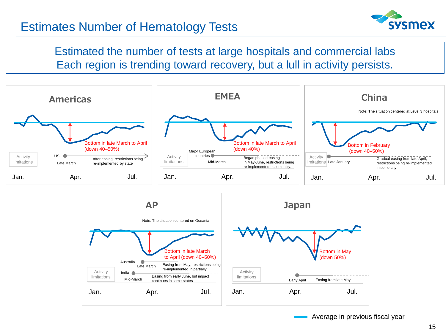# Estimates Number of Hematology Tests



Estimated the number of tests at large hospitals and commercial labs Each region is trending toward recovery, but a lull in activity persists.





Average in previous fiscal year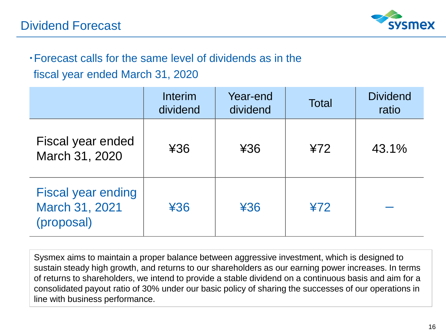

# ・Forecast calls for the same level of dividends as in the fiscal year ended March 31, 2020

Interim dividend Year-end Year-end Total Dividend<br>dividend Total ratio ratio Fiscal year ended March 31, 2020 **\***36 **\***36 **\* \*36 \*72 \*12** 43.1% Fiscal year ending March 31, 2021 (proposal) ¥36 ¥36 ¥72 ー

Sysmex aims to maintain a proper balance between aggressive investment, which is designed to sustain steady high growth, and returns to our shareholders as our earning power increases. In terms of returns to shareholders, we intend to provide a stable dividend on a continuous basis and aim for a consolidated payout ratio of 30% under our basic policy of sharing the successes of our operations in line with business performance.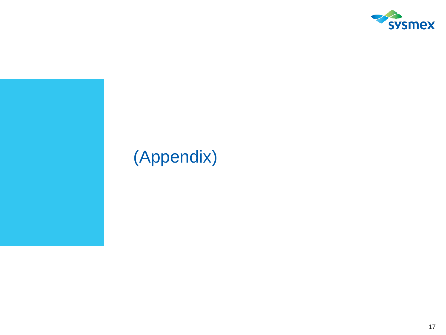

# (Appendix)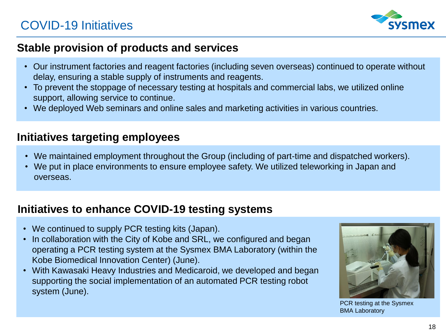

## **Stable provision of products and services**

- Our instrument factories and reagent factories (including seven overseas) continued to operate without delay, ensuring a stable supply of instruments and reagents.
- To prevent the stoppage of necessary testing at hospitals and commercial labs, we utilized online support, allowing service to continue.
- We deployed Web seminars and online sales and marketing activities in various countries.

## **Initiatives targeting employees**

- We maintained employment throughout the Group (including of part-time and dispatched workers).
- We put in place environments to ensure employee safety. We utilized teleworking in Japan and overseas.

## **Initiatives to enhance COVID-19 testing systems**

- We continued to supply PCR testing kits (Japan).
- In collaboration with the City of Kobe and SRL, we configured and began operating a PCR testing system at the Sysmex BMA Laboratory (within the Kobe Biomedical Innovation Center) (June).
- With Kawasaki Heavy Industries and Medicaroid, we developed and began supporting the social implementation of an automated PCR testing robot system (June).



PCR testing at the Sysmex BMA Laboratory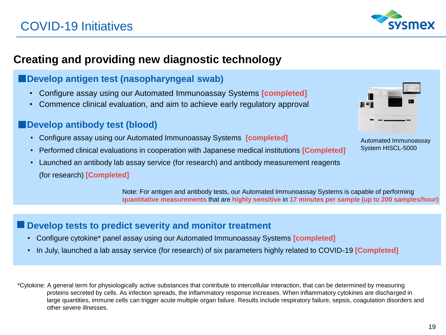

## **Creating and providing new diagnostic technology**

### **Develop antigen test (nasopharyngeal swab)**

- Configure assay using our Automated Immunoassay Systems **[completed]**
- Commence clinical evaluation, and aim to achieve early regulatory approval

### **Example 2 Develop antibody test (blood)**

- Configure assay using our Automated Immunoassay Systems **[completed]**
- Performed clinical evaluations in cooperation with Japanese medical institutions **[Completed]**
- Launched an antibody lab assay service (for research) and antibody measurement reagents

(for research) **[Completed]**

Automated Immunoassay System HISCL-5000

Note: For antigen and antibody tests, our Automated Immunoassay Systems is capable of performing **quantitative measurements** that are **highly sensitive** in **17 minutes per sample (up to 200 samples/hour)**

### **■Develop tests to predict severity and monitor treatment**

- Configure cytokine\* panel assay using our Automated Immunoassay Systems **[completed]**
- In July, launched a lab assay service (for research) of six parameters highly related to COVID-19 **[Completed]**

\*Cytokine: A general term for physiologically active substances that contribute to intercellular interaction, that can be determined by measuring proteins secreted by cells. As infection spreads, the inflammatory response increases. When inflammatory cytokines are discharged in large quantities, immune cells can trigger acute multiple organ failure. Results include respiratory failure, sepsis, coagulation disorders and other severe illnesses.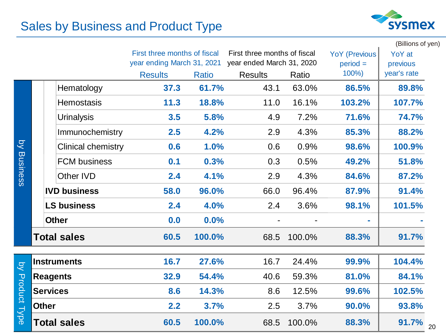# Sales by Business and Product Type



|                     |                           |                              |              |                              |        |                      | (Billions of yen)       |    |
|---------------------|---------------------------|------------------------------|--------------|------------------------------|--------|----------------------|-------------------------|----|
|                     |                           | First three months of fiscal |              | First three months of fiscal |        | <b>YoY (Previous</b> | YoY at                  |    |
|                     |                           | year ending March 31, 2021   | <b>Ratio</b> | year ended March 31, 2020    |        | $period =$<br>100%)  | previous<br>year's rate |    |
|                     |                           | <b>Results</b>               |              | <b>Results</b>               | Ratio  |                      |                         |    |
|                     | Hematology                | 37.3                         | 61.7%        | 43.1                         | 63.0%  | 86.5%                | 89.8%                   |    |
|                     | <b>Hemostasis</b>         | 11.3                         | 18.8%        | 11.0                         | 16.1%  | 103.2%               | 107.7%                  |    |
|                     | <b>Urinalysis</b>         | 3.5                          | 5.8%         | 4.9                          | 7.2%   | 71.6%                | 74.7%                   |    |
|                     | Immunochemistry           | 2.5                          | 4.2%         | 2.9                          | 4.3%   | 85.3%                | 88.2%                   |    |
| $\overline{Q}$      | <b>Clinical chemistry</b> | 0.6                          | 1.0%         | 0.6                          | 0.9%   | 98.6%                | 100.9%                  |    |
| <b>Business</b>     | <b>FCM business</b>       | 0.1                          | 0.3%         | 0.3                          | 0.5%   | 49.2%                | 51.8%                   |    |
|                     | Other IVD                 | 2.4                          | 4.1%         | 2.9                          | 4.3%   | 84.6%                | 87.2%                   |    |
|                     | <b>IVD business</b>       | 58.0                         | 96.0%        | 66.0                         | 96.4%  | 87.9%                | 91.4%                   |    |
|                     | <b>LS business</b>        | 2.4                          | 4.0%         | 2.4                          | 3.6%   | 98.1%                | 101.5%                  |    |
|                     | <b>Other</b>              | 0.0                          | 0.0%         | $\blacksquare$               |        | ÷                    |                         |    |
|                     | <b>Total sales</b>        | 60.5                         | 100.0%       | 68.5                         | 100.0% | 88.3%                | 91.7%                   |    |
|                     | <b>Instruments</b>        | 16.7                         | 27.6%        | 16.7                         | 24.4%  | 99.9%                | 104.4%                  |    |
| $\overline{Q}$      | <b>Reagents</b>           | 32.9                         | 54.4%        | 40.6                         | 59.3%  | 81.0%                | 84.1%                   |    |
|                     | <b>Services</b>           | 8.6                          | 14.3%        | 8.6                          | 12.5%  | 99.6%                | 102.5%                  |    |
| <b>Product Type</b> | <b>Other</b>              | 2.2                          | 3.7%         | 2.5                          | 3.7%   | 90.0%                | 93.8%                   |    |
|                     | <b>Total sales</b>        | 60.5                         | 100.0%       | 68.5                         | 100.0% | 88.3%                | 91.7%                   | 20 |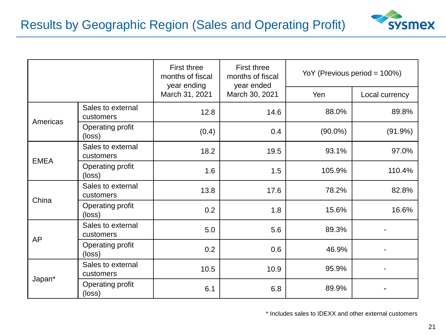

|             |                                | First three<br>months of fiscal<br>year ending<br>March 31, 2021 | <b>First three</b><br>months of fiscal<br>year ended<br>March 30, 2021 | YoY (Previous period = 100%) |                |
|-------------|--------------------------------|------------------------------------------------------------------|------------------------------------------------------------------------|------------------------------|----------------|
|             |                                |                                                                  |                                                                        | Yen                          | Local currency |
| Americas    | Sales to external<br>customers | 12.8                                                             | 14.6                                                                   | 88.0%                        | 89.8%          |
|             | Operating profit<br>(loss)     | (0.4)                                                            | 0.4                                                                    | $(90.0\%)$                   | $(91.9\%)$     |
| <b>EMEA</b> | Sales to external<br>customers | 18.2                                                             | 19.5                                                                   | 93.1%                        | 97.0%          |
|             | Operating profit<br>(loss)     | 1.6                                                              | 1.5                                                                    | 105.9%                       | 110.4%         |
| China       | Sales to external<br>customers | 13.8                                                             | 17.6                                                                   | 78.2%                        | 82.8%          |
|             | Operating profit<br>(loss)     | 0.2                                                              | 1.8                                                                    | 15.6%                        | 16.6%          |
| <b>AP</b>   | Sales to external<br>customers | 5.0                                                              | 5.6                                                                    | 89.3%                        |                |
|             | Operating profit<br>(loss)     | 0.2                                                              | 0.6                                                                    | 46.9%                        |                |
| Japan*      | Sales to external<br>customers | 10.5                                                             | 10.9                                                                   | 95.9%                        |                |
|             | Operating profit<br>(loss)     | 6.1                                                              | 6.8                                                                    | 89.9%                        |                |

\* Includes sales to IDEXX and other external customers